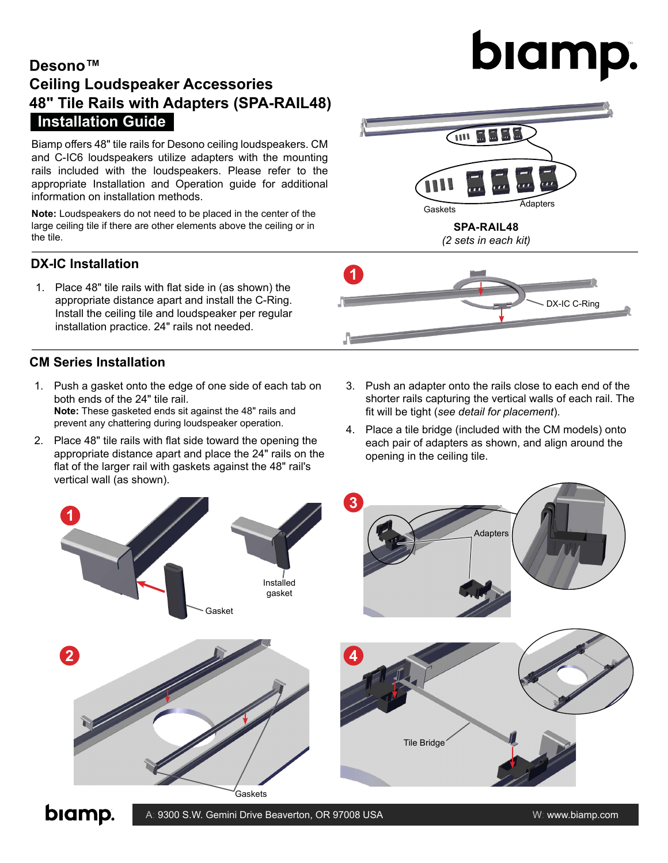# **Desono™ Ceiling Loudspeaker Accessories 48" Tile Rails with Adapters (SPA-RAIL48) Installation Guide**

Biamp offers 48" tile rails for Desono ceiling loudspeakers. CM and C-IC6 loudspeakers utilize adapters with the mounting rails included with the loudspeakers. Please refer to the appropriate Installation and Operation guide for additional information on installation methods.

**Note:** Loudspeakers do not need to be placed in the center of the large ceiling tile if there are other elements above the ceiling or in the tile.

#### **DX-IC Installation**

1. Place 48" tile rails with flat side in (as shown) the appropriate distance apart and install the C-Ring. Install the ceiling tile and loudspeaker per regular installation practice. 24" rails not needed.

### **CM Series Installation**

- 1. Push a gasket onto the edge of one side of each tab on both ends of the 24" tile rail. **Note:** These gasketed ends sit against the 48" rails and prevent any chattering during loudspeaker operation.
- 2. Place 48" tile rails with flat side toward the opening the appropriate distance apart and place the 24" rails on the flat of the larger rail with gaskets against the 48" rail's vertical wall (as shown).
- 3. Push an adapter onto the rails close to each end of the shorter rails capturing the vertical walls of each rail. The fit will be tight (*see detail for placement*).
- 4. Place a tile bridge (included with the CM models) onto each pair of adapters as shown, and align around the opening in the ceiling tile.



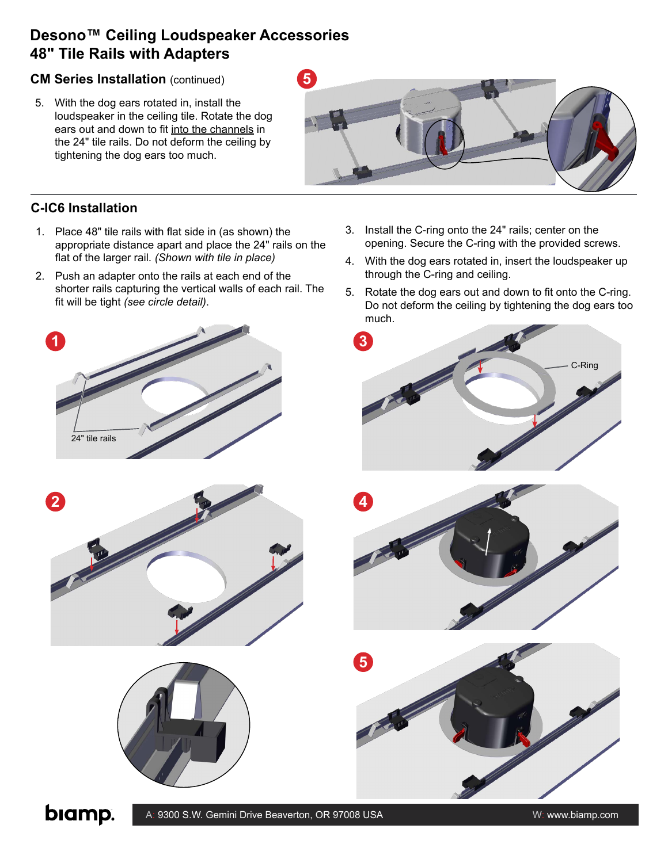## **Desono™ Ceiling Loudspeaker Accessories 48" Tile Rails with Adapters**

#### **CM Series Installation** (continued)

5. With the dog ears rotated in, install the loudspeaker in the ceiling tile. Rotate the dog ears out and down to fit into the channels in the 24" tile rails. Do not deform the ceiling by tightening the dog ears too much.



3. Install the C-ring onto the 24" rails; center on the

through the C-ring and ceiling.

opening. Secure the C-ring with the provided screws. 4. With the dog ears rotated in, insert the loudspeaker up

#### **C-IC6 Installation**

**1**

24" tile rails

- 1. Place 48" tile rails with flat side in (as shown) the appropriate distance apart and place the 24" rails on the flat of the larger rail. *(Shown with tile in place)*
- 2. Push an adapter onto the rails at each end of the shorter rails capturing the vertical walls of each rail. The fit will be tight *(see circle detail)*.





**5**